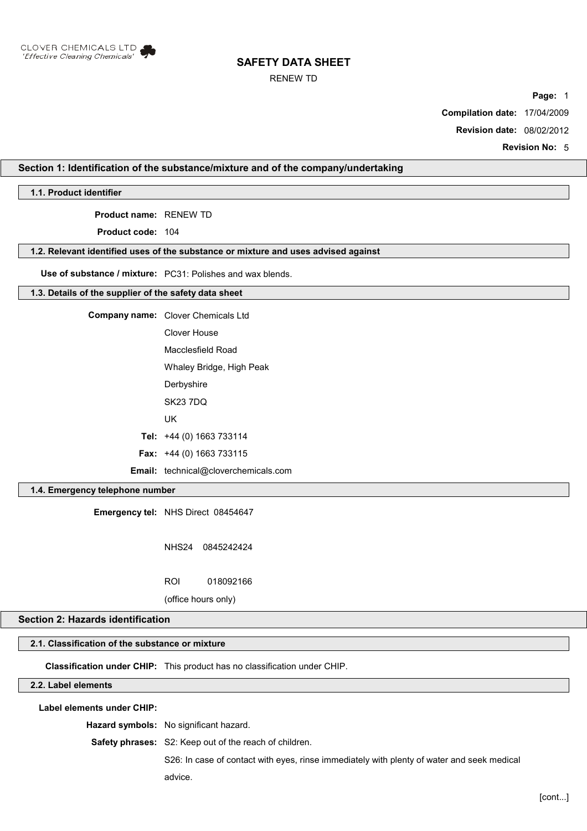

## RENEW TD

**Page:** 1

**Compilation date:** 17/04/2009

**Revision date:** 08/02/2012

**Revision No:** 5

## **Section 1: Identification of the substance/mixture and of the company/undertaking**

**1.1. Product identifier**

**Product name:** RENEW TD

**Product code:** 104

#### **1.2. Relevant identified uses of the substance or mixture and uses advised against**

**Use of substance / mixture:** PC31: Polishes and wax blends.

#### **1.3. Details of the supplier of the safety data sheet**

| <b>Company name:</b> Clover Chemicals Ltd   |  |  |
|---------------------------------------------|--|--|
| Clover House                                |  |  |
| Macclesfield Road                           |  |  |
| Whaley Bridge, High Peak                    |  |  |
| Derbyshire                                  |  |  |
| <b>SK23 7DQ</b>                             |  |  |
| UK                                          |  |  |
| Tel: $+44$ (0) 1663 733114                  |  |  |
| <b>Fax:</b> $+44$ (0) 1663 733115           |  |  |
| <b>Email:</b> technical@cloverchemicals.com |  |  |

## **1.4. Emergency telephone number**

**Emergency tel:** NHS Direct 08454647

NHS24 0845242424

ROI 018092166

(office hours only)

## **Section 2: Hazards identification**

## **2.1. Classification of the substance or mixture**

**Classification under CHIP:** This product has no classification under CHIP.

## **2.2. Label elements**

**Label elements under CHIP:**

**Hazard symbols:** No significant hazard.

**Safety phrases:** S2: Keep out of the reach of children.

S26: In case of contact with eyes, rinse immediately with plenty of water and seek medical advice.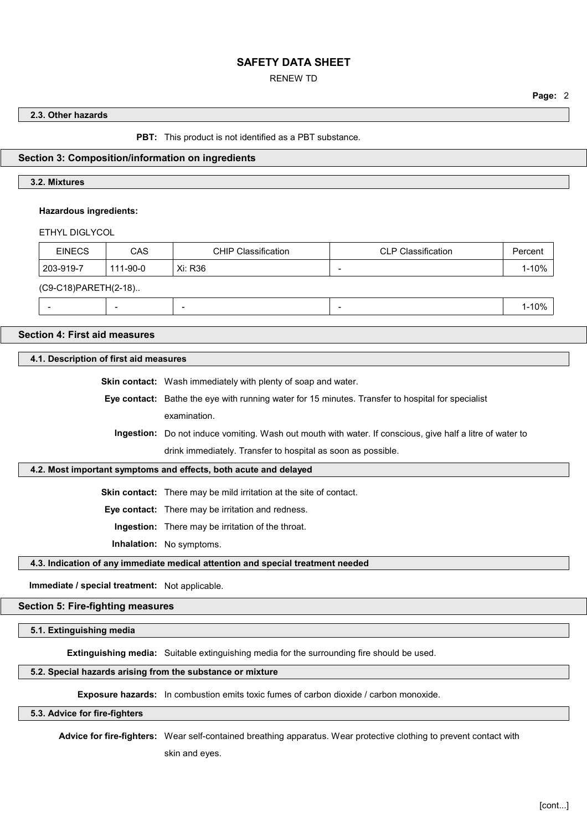## RENEW TD

**Page:** 2

## **2.3. Other hazards**

**PBT:** This product is not identified as a PBT substance.

#### **Section 3: Composition/information on ingredients**

### **3.2. Mixtures**

### **Hazardous ingredients:**

ETHYL DIGLYCOL

| <b>EINECS</b>        | CAS      | CHIP Classification | <b>CLP Classification</b> | Percent   |  |  |
|----------------------|----------|---------------------|---------------------------|-----------|--|--|
| 203-919-7            | 111-90-0 | Xi: R36             |                           | $1 - 10%$ |  |  |
| (C9-C18)PARETH(2-18) |          |                     |                           |           |  |  |

# - - - - 1-10%

## **Section 4: First aid measures**

**4.1. Description of first aid measures**

**Skin contact:** Wash immediately with plenty of soap and water.

**Eye contact:** Bathe the eye with running water for 15 minutes. Transfer to hospital for specialist examination.

**Ingestion:** Do not induce vomiting. Wash out mouth with water. If conscious, give half a litre of water to drink immediately. Transfer to hospital as soon as possible.

#### **4.2. Most important symptoms and effects, both acute and delayed**

**Skin contact:** There may be mild irritation at the site of contact.

**Eye contact:** There may be irritation and redness.

**Ingestion:** There may be irritation of the throat.

**Inhalation:** No symptoms.

**4.3. Indication of any immediate medical attention and special treatment needed**

**Immediate / special treatment:** Not applicable.

#### **Section 5: Fire-fighting measures**

**5.1. Extinguishing media**

**Extinguishing media:** Suitable extinguishing media for the surrounding fire should be used.

## **5.2. Special hazards arising from the substance or mixture**

**Exposure hazards:** In combustion emits toxic fumes of carbon dioxide / carbon monoxide.

## **5.3. Advice for fire-fighters**

**Advice for fire-fighters:** Wear self-contained breathing apparatus. Wear protective clothing to prevent contact with

skin and eyes.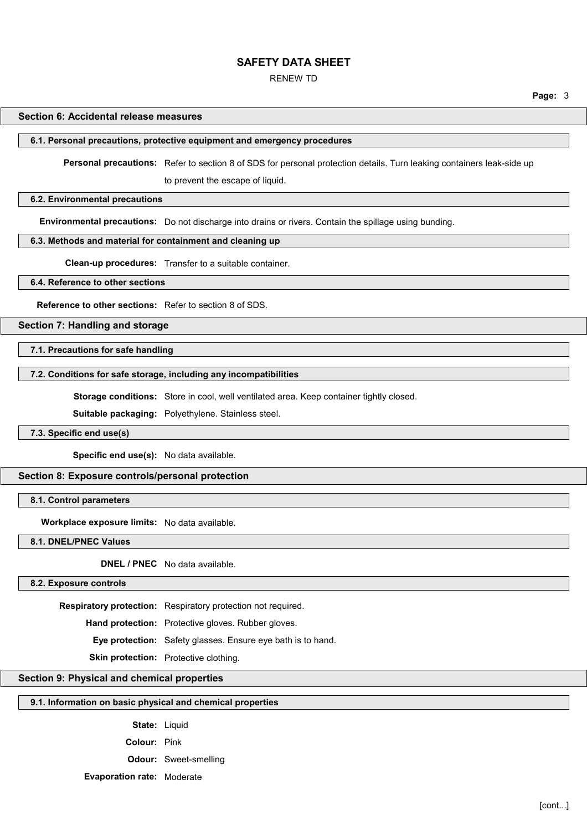RENEW TD

#### **Section 6: Accidental release measures**

#### **6.1. Personal precautions, protective equipment and emergency procedures**

**Personal precautions:** Refer to section 8 of SDS for personal protection details. Turn leaking containers leak-side up

to prevent the escape of liquid.

## **6.2. Environmental precautions**

**Environmental precautions:** Do not discharge into drains or rivers. Contain the spillage using bunding.

### **6.3. Methods and material for containment and cleaning up**

**Clean-up procedures:** Transfer to a suitable container.

#### **6.4. Reference to other sections**

**Reference to other sections:** Refer to section 8 of SDS.

#### **Section 7: Handling and storage**

**7.1. Precautions for safe handling**

## **7.2. Conditions for safe storage, including any incompatibilities**

**Storage conditions:** Store in cool, well ventilated area. Keep container tightly closed.

**Suitable packaging:** Polyethylene. Stainless steel.

## **7.3. Specific end use(s)**

**Specific end use(s):** No data available.

#### **Section 8: Exposure controls/personal protection**

**8.1. Control parameters**

**Workplace exposure limits:** No data available.

**8.1. DNEL/PNEC Values**

**DNEL / PNEC** No data available.

#### **8.2. Exposure controls**

**Respiratory protection:** Respiratory protection not required.

**Hand protection:** Protective gloves. Rubber gloves.

**Eye protection:** Safety glasses. Ensure eye bath is to hand.

# **Skin protection:** Protective clothing.

## **Section 9: Physical and chemical properties**

#### **9.1. Information on basic physical and chemical properties**

**State:** Liquid

**Colour:** Pink

**Odour:** Sweet-smelling

**Evaporation rate:** Moderate

**Page:** 3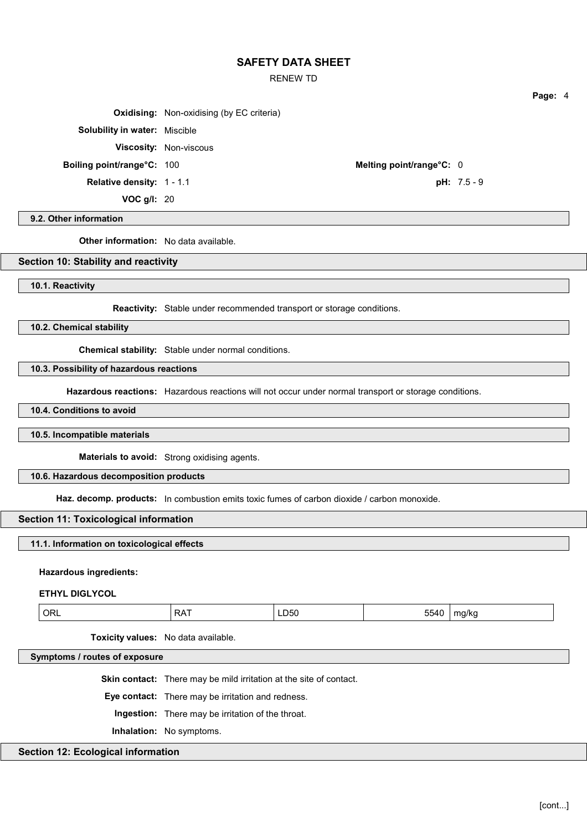RENEW TD

**Oxidising:** Non-oxidising (by EC criteria) **Solubility in water:** Miscible **Viscosity:** Non-viscous **Boiling point/range°C:** 100 **Melting point/range°C:** 0 **Relative density:** 1 - 1.1 **pH:** 7.5 - 9

**VOC g/l:** 20

**Page:** 4

## **9.2. Other information**

**Other information:** No data available.

## **Section 10: Stability and reactivity**

**10.1. Reactivity**

**Reactivity:** Stable under recommended transport or storage conditions.

**10.2. Chemical stability**

**Chemical stability:** Stable under normal conditions.

# **10.3. Possibility of hazardous reactions**

**Hazardous reactions:** Hazardous reactions will not occur under normal transport or storage conditions.

**10.4. Conditions to avoid**

#### **10.5. Incompatible materials**

**Materials to avoid:** Strong oxidising agents.

#### **10.6. Hazardous decomposition products**

**Haz. decomp. products:** In combustion emits toxic fumes of carbon dioxide / carbon monoxide.

### **Section 11: Toxicological information**

**11.1. Information on toxicological effects**

#### **Hazardous ingredients:**

#### **ETHYL DIGLYCOL**

| ORL<br>- - -<br>LD50<br>RA.<br>$ -$ | $- - - -$<br>ma/ka<br>554.<br>ື<br>$   -$<br>. . |
|-------------------------------------|--------------------------------------------------|
|-------------------------------------|--------------------------------------------------|

**Toxicity values:** No data available.

## **Symptoms / routes of exposure**

**Skin contact:** There may be mild irritation at the site of contact.

**Eye contact:** There may be irritation and redness.

**Ingestion:** There may be irritation of the throat.

**Inhalation:** No symptoms.

## **Section 12: Ecological information**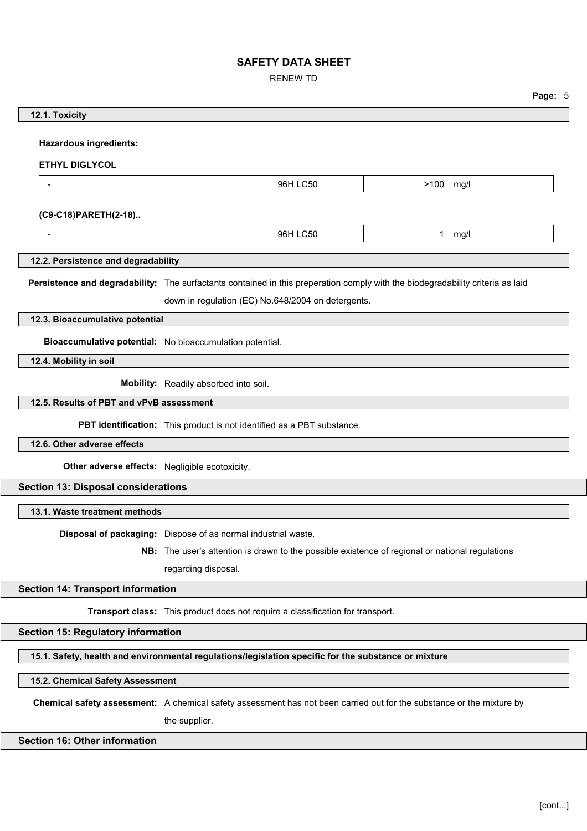RENEW TD

|                                                                                                                                |                                                                                                 |          |      | Page: 5 |  |  |
|--------------------------------------------------------------------------------------------------------------------------------|-------------------------------------------------------------------------------------------------|----------|------|---------|--|--|
| 12.1. Toxicity                                                                                                                 |                                                                                                 |          |      |         |  |  |
|                                                                                                                                |                                                                                                 |          |      |         |  |  |
| <b>Hazardous ingredients:</b>                                                                                                  |                                                                                                 |          |      |         |  |  |
| <b>ETHYL DIGLYCOL</b>                                                                                                          |                                                                                                 |          |      |         |  |  |
|                                                                                                                                |                                                                                                 | 96H LC50 | >100 | mg/l    |  |  |
|                                                                                                                                |                                                                                                 |          |      |         |  |  |
| (C9-C18)PARETH(2-18)                                                                                                           |                                                                                                 |          |      |         |  |  |
| $\overline{\phantom{a}}$                                                                                                       |                                                                                                 | 96H LC50 | 1    | mg/l    |  |  |
| 12.2. Persistence and degradability                                                                                            |                                                                                                 |          |      |         |  |  |
| Persistence and degradability: The surfactants contained in this preperation comply with the biodegradability criteria as laid |                                                                                                 |          |      |         |  |  |
|                                                                                                                                | down in regulation (EC) No.648/2004 on detergents.                                              |          |      |         |  |  |
| 12.3. Bioaccumulative potential                                                                                                |                                                                                                 |          |      |         |  |  |
|                                                                                                                                |                                                                                                 |          |      |         |  |  |
| Bioaccumulative potential: No bioaccumulation potential.                                                                       |                                                                                                 |          |      |         |  |  |
| 12.4. Mobility in soil                                                                                                         |                                                                                                 |          |      |         |  |  |
|                                                                                                                                | Mobility: Readily absorbed into soil.                                                           |          |      |         |  |  |
| 12.5. Results of PBT and vPvB assessment                                                                                       |                                                                                                 |          |      |         |  |  |
|                                                                                                                                | PBT identification: This product is not identified as a PBT substance.                          |          |      |         |  |  |
| 12.6. Other adverse effects                                                                                                    |                                                                                                 |          |      |         |  |  |
|                                                                                                                                |                                                                                                 |          |      |         |  |  |
| Other adverse effects: Negligible ecotoxicity.                                                                                 |                                                                                                 |          |      |         |  |  |
| <b>Section 13: Disposal considerations</b>                                                                                     |                                                                                                 |          |      |         |  |  |
| 13.1. Waste treatment methods                                                                                                  |                                                                                                 |          |      |         |  |  |
|                                                                                                                                | Disposal of packaging: Dispose of as normal industrial waste                                    |          |      |         |  |  |
|                                                                                                                                | NB: The user's attention is drawn to the possible existence of regional or national regulations |          |      |         |  |  |
|                                                                                                                                | regarding disposal.                                                                             |          |      |         |  |  |
| <b>Section 14: Transport information</b>                                                                                       |                                                                                                 |          |      |         |  |  |
|                                                                                                                                |                                                                                                 |          |      |         |  |  |
|                                                                                                                                | Transport class: This product does not require a classification for transport.                  |          |      |         |  |  |
| <b>Section 15: Regulatory information</b>                                                                                      |                                                                                                 |          |      |         |  |  |
| 15.1. Safety, health and environmental regulations/legislation specific for the substance or mixture                           |                                                                                                 |          |      |         |  |  |
| 15.2. Chemical Safety Assessment                                                                                               |                                                                                                 |          |      |         |  |  |
|                                                                                                                                |                                                                                                 |          |      |         |  |  |
| Chemical safety assessment: A chemical safety assessment has not been carried out for the substance or the mixture by          |                                                                                                 |          |      |         |  |  |

the supplier.

# **Section 16: Other information**

**Page:** 5